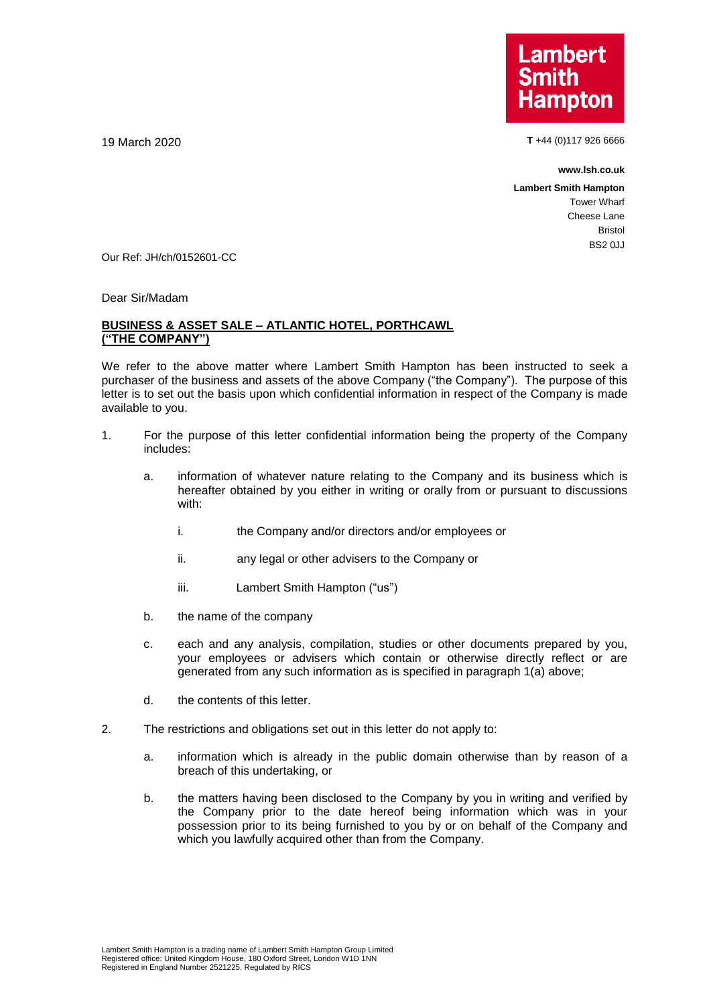**Lambert Hampton** 

19 March 2020 **T** +44 (0)117 926 6666

**www.lsh.co.uk**

**Lambert Smith Hampton** Tower Wharf Cheese Lane Bristol BS2 0JJ

Our Ref: JH/ch/0152601-CC

Dear Sir/Madam

## **BUSINESS & ASSET SALE – ATLANTIC HOTEL, PORTHCAWL ("THE COMPANY")**

We refer to the above matter where Lambert Smith Hampton has been instructed to seek a purchaser of the business and assets of the above Company ("the Company"). The purpose of this letter is to set out the basis upon which confidential information in respect of the Company is made available to you.

- 1. For the purpose of this letter confidential information being the property of the Company includes:
	- a. information of whatever nature relating to the Company and its business which is hereafter obtained by you either in writing or orally from or pursuant to discussions with:
		- i. the Company and/or directors and/or employees or
		- ii. any legal or other advisers to the Company or
		- iii. Lambert Smith Hampton ("us")
	- b. the name of the company
	- c. each and any analysis, compilation, studies or other documents prepared by you, your employees or advisers which contain or otherwise directly reflect or are generated from any such information as is specified in paragraph 1(a) above;
	- d. the contents of this letter.
- 2. The restrictions and obligations set out in this letter do not apply to:
	- a. information which is already in the public domain otherwise than by reason of a breach of this undertaking, or
	- b. the matters having been disclosed to the Company by you in writing and verified by the Company prior to the date hereof being information which was in your possession prior to its being furnished to you by or on behalf of the Company and which you lawfully acquired other than from the Company.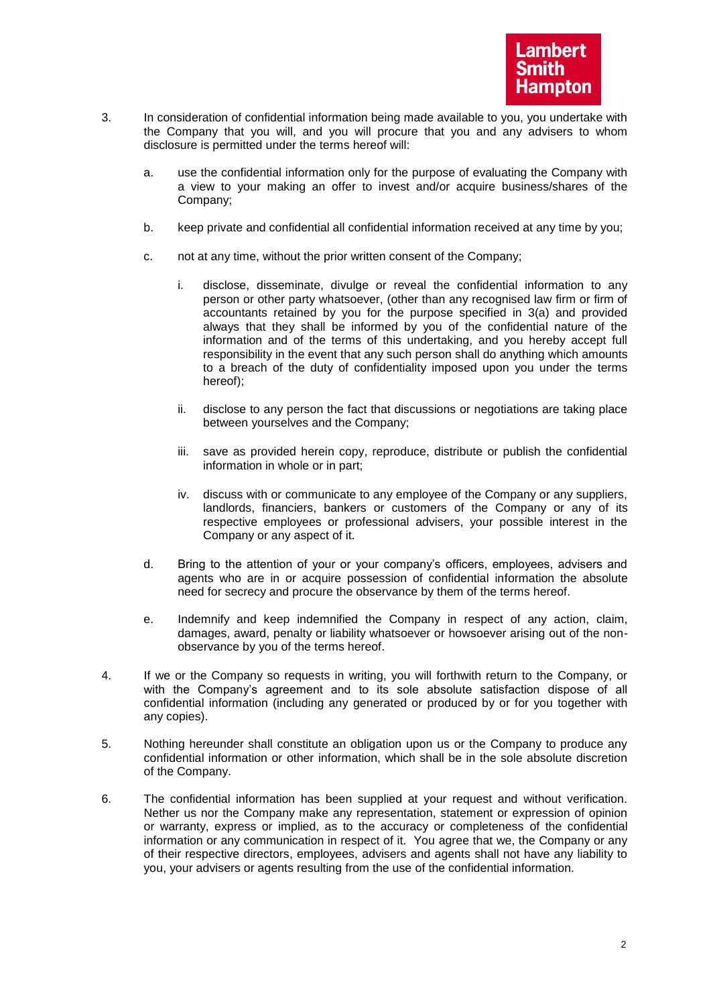- 3. In consideration of confidential information being made available to you, you undertake with the Company that you will, and you will procure that you and any advisers to whom disclosure is permitted under the terms hereof will:
	- a. use the confidential information only for the purpose of evaluating the Company with a view to your making an offer to invest and/or acquire business/shares of the Company;
	- b. keep private and confidential all confidential information received at any time by you;
	- c. not at any time, without the prior written consent of the Company;
		- i. disclose, disseminate, divulge or reveal the confidential information to any person or other party whatsoever, (other than any recognised law firm or firm of accountants retained by you for the purpose specified in 3(a) and provided always that they shall be informed by you of the confidential nature of the information and of the terms of this undertaking, and you hereby accept full responsibility in the event that any such person shall do anything which amounts to a breach of the duty of confidentiality imposed upon you under the terms hereof);
		- ii. disclose to any person the fact that discussions or negotiations are taking place between yourselves and the Company;
		- iii. save as provided herein copy, reproduce, distribute or publish the confidential information in whole or in part;
		- iv. discuss with or communicate to any employee of the Company or any suppliers, landlords, financiers, bankers or customers of the Company or any of its respective employees or professional advisers, your possible interest in the Company or any aspect of it.
	- d. Bring to the attention of your or your company's officers, employees, advisers and agents who are in or acquire possession of confidential information the absolute need for secrecy and procure the observance by them of the terms hereof.
	- e. Indemnify and keep indemnified the Company in respect of any action, claim, damages, award, penalty or liability whatsoever or howsoever arising out of the nonobservance by you of the terms hereof.
- 4. If we or the Company so requests in writing, you will forthwith return to the Company, or with the Company's agreement and to its sole absolute satisfaction dispose of all confidential information (including any generated or produced by or for you together with any copies).
- 5. Nothing hereunder shall constitute an obligation upon us or the Company to produce any confidential information or other information, which shall be in the sole absolute discretion of the Company.
- 6. The confidential information has been supplied at your request and without verification. Nether us nor the Company make any representation, statement or expression of opinion or warranty, express or implied, as to the accuracy or completeness of the confidential information or any communication in respect of it. You agree that we, the Company or any of their respective directors, employees, advisers and agents shall not have any liability to you, your advisers or agents resulting from the use of the confidential information.